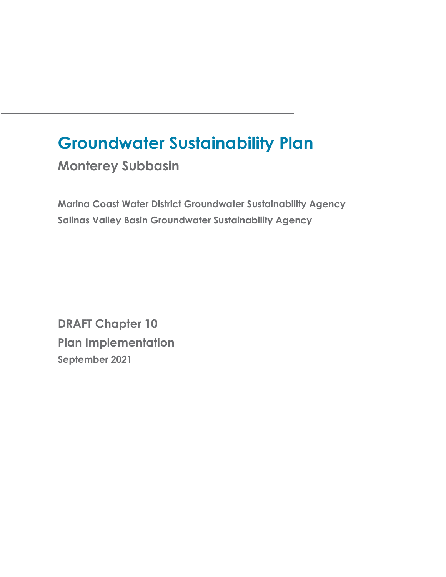# **Groundwater Sustainability Plan**

**Monterey Subbasin**

**Marina Coast Water District Groundwater Sustainability Agency Salinas Valley Basin Groundwater Sustainability Agency**

**DRAFT Chapter 10 Plan Implementation September 2021**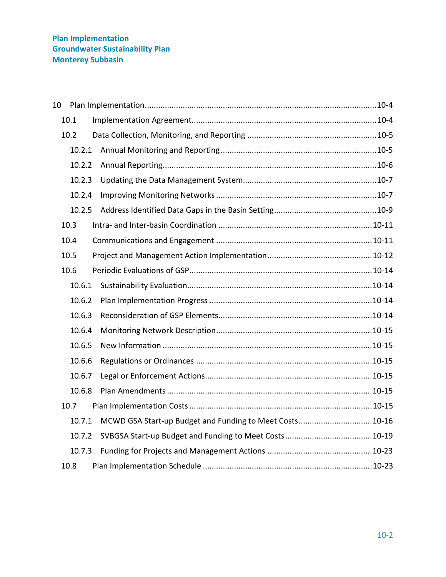| 10 |        |                                                         |  |
|----|--------|---------------------------------------------------------|--|
|    | 10.1   |                                                         |  |
|    | 10.2   |                                                         |  |
|    | 10.2.1 |                                                         |  |
|    | 10.2.2 |                                                         |  |
|    | 10.2.3 |                                                         |  |
|    | 10.2.4 |                                                         |  |
|    | 10.2.5 |                                                         |  |
|    | 10.3   |                                                         |  |
|    | 10.4   |                                                         |  |
|    | 10.5   |                                                         |  |
|    | 10.6   |                                                         |  |
|    | 10.6.1 |                                                         |  |
|    | 10.6.2 |                                                         |  |
|    | 10.6.3 |                                                         |  |
|    | 10.6.4 |                                                         |  |
|    | 10.6.5 |                                                         |  |
|    | 10.6.6 |                                                         |  |
|    | 10.6.7 |                                                         |  |
|    | 10.6.8 |                                                         |  |
|    | 10.7   |                                                         |  |
|    | 10.7.1 | MCWD GSA Start-up Budget and Funding to Meet Costs10-16 |  |
|    | 10.7.2 |                                                         |  |
|    | 10.7.3 |                                                         |  |
|    | 10.8   |                                                         |  |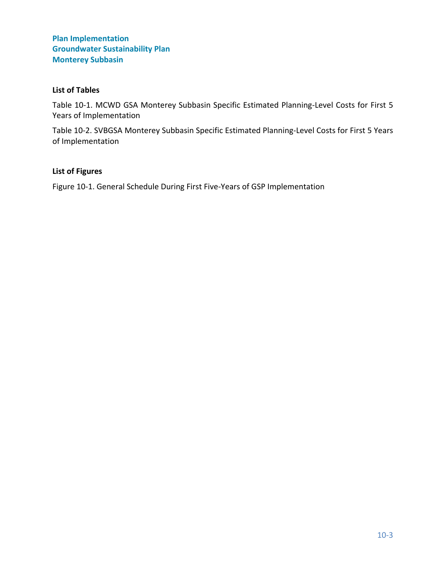#### **List of Tables**

[Table 10-1. MCWD GSA Monterey Subbasin Specific Estimated Planning-Level Costs for First 5](#page-16-0)  [Years of Implementation](#page-16-0)

[Table 10-2. SVBGSA Monterey Subbasin Specific Estimated Planning-Level Costs for First 5 Years](#page-20-0)  [of Implementation](#page-20-0)

#### **List of Figures**

[Figure 10-1. General Schedule During First Five-Years of GSP Implementation](#page-24-0)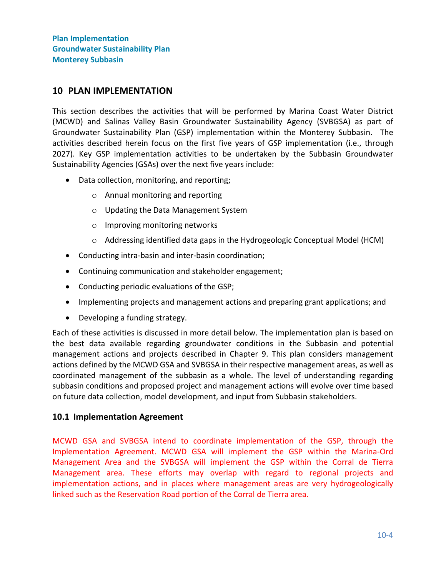## <span id="page-3-0"></span>**10 PLAN IMPLEMENTATION**

This section describes the activities that will be performed by Marina Coast Water District (MCWD) and Salinas Valley Basin Groundwater Sustainability Agency (SVBGSA) as part of Groundwater Sustainability Plan (GSP) implementation within the Monterey Subbasin. The activities described herein focus on the first five years of GSP implementation (i.e., through 2027). Key GSP implementation activities to be undertaken by the Subbasin Groundwater Sustainability Agencies (GSAs) over the next five years include:

- Data collection, monitoring, and reporting;
	- o Annual monitoring and reporting
	- o Updating the Data Management System
	- o Improving monitoring networks
	- o Addressing identified data gaps in the Hydrogeologic Conceptual Model (HCM)
- Conducting intra-basin and inter-basin coordination;
- Continuing communication and stakeholder engagement;
- Conducting periodic evaluations of the GSP;
- Implementing projects and management actions and preparing grant applications; and
- Developing a funding strategy.

Each of these activities is discussed in more detail below. The implementation plan is based on the best data available regarding groundwater conditions in the Subbasin and potential management actions and projects described in Chapter 9. This plan considers management actions defined by the MCWD GSA and SVBGSA in their respective management areas, as well as coordinated management of the subbasin as a whole. The level of understanding regarding subbasin conditions and proposed project and management actions will evolve over time based on future data collection, model development, and input from Subbasin stakeholders.

#### <span id="page-3-1"></span>**10.1 Implementation Agreement**

MCWD GSA and SVBGSA intend to coordinate implementation of the GSP, through the Implementation Agreement. MCWD GSA will implement the GSP within the Marina-Ord Management Area and the SVBGSA will implement the GSP within the Corral de Tierra Management area. These efforts may overlap with regard to regional projects and implementation actions, and in places where management areas are very hydrogeologically linked such as the Reservation Road portion of the Corral de Tierra area.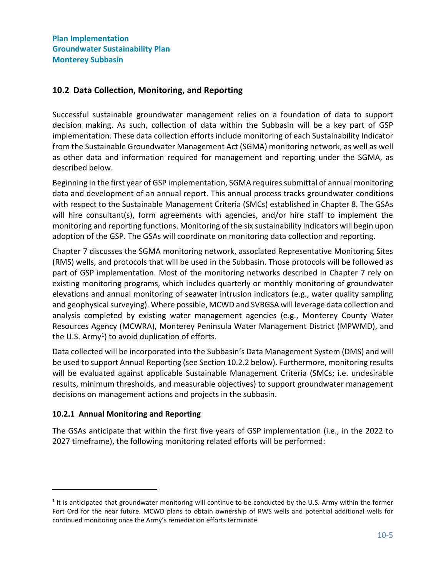# <span id="page-4-0"></span>**10.2 Data Collection, Monitoring, and Reporting**

Successful sustainable groundwater management relies on a foundation of data to support decision making. As such, collection of data within the Subbasin will be a key part of GSP implementation. These data collection efforts include monitoring of each Sustainability Indicator from the Sustainable Groundwater Management Act (SGMA) monitoring network, as well as well as other data and information required for management and reporting under the SGMA, as described below.

Beginning in the first year of GSP implementation, SGMA requires submittal of annual monitoring data and development of an annual report. This annual process tracks groundwater conditions with respect to the Sustainable Management Criteria (SMCs) established in Chapter 8. The GSAs will hire consultant(s), form agreements with agencies, and/or hire staff to implement the monitoring and reporting functions. Monitoring of the six sustainability indicators will begin upon adoption of the GSP. The GSAs will coordinate on monitoring data collection and reporting.

Chapter 7 discusses the SGMA monitoring network, associated Representative Monitoring Sites (RMS) wells, and protocols that will be used in the Subbasin. Those protocols will be followed as part of GSP implementation. Most of the monitoring networks described in Chapter 7 rely on existing monitoring programs, which includes quarterly or monthly monitoring of groundwater elevations and annual monitoring of seawater intrusion indicators (e.g., water quality sampling and geophysical surveying). Where possible, MCWD and SVBGSA will leverage data collection and analysis completed by existing water management agencies (e.g., Monterey County Water Resources Agency (MCWRA), Monterey Peninsula Water Management District (MPWMD), and the U.S. Army<sup>1</sup>) to avoid duplication of efforts.

Data collected will be incorporated into the Subbasin's Data Management System (DMS) and will be used to support Annual Reporting (see Section [10.2.2](#page-5-0) below). Furthermore, monitoring results will be evaluated against applicable Sustainable Management Criteria (SMCs; i.e. undesirable results, minimum thresholds, and measurable objectives) to support groundwater management decisions on management actions and projects in the subbasin.

## <span id="page-4-1"></span>**10.2.1 Annual Monitoring and Reporting**

The GSAs anticipate that within the first five years of GSP implementation (i.e., in the 2022 to 2027 timeframe), the following monitoring related efforts will be performed:

 $1$  It is anticipated that groundwater monitoring will continue to be conducted by the U.S. Army within the former Fort Ord for the near future. MCWD plans to obtain ownership of RWS wells and potential additional wells for continued monitoring once the Army's remediation efforts terminate.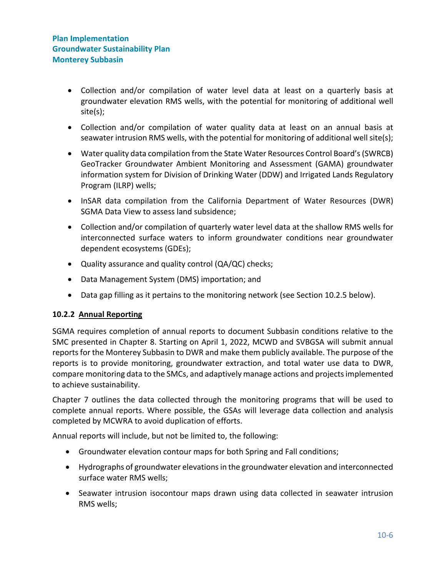- Collection and/or compilation of water level data at least on a quarterly basis at groundwater elevation RMS wells, with the potential for monitoring of additional well site(s);
- Collection and/or compilation of water quality data at least on an annual basis at seawater intrusion RMS wells, with the potential for monitoring of additional well site(s);
- Water quality data compilation from the State Water Resources Control Board's (SWRCB) GeoTracker Groundwater Ambient Monitoring and Assessment (GAMA) groundwater information system for Division of Drinking Water (DDW) and Irrigated Lands Regulatory Program (ILRP) wells;
- InSAR data compilation from the California Department of Water Resources (DWR) SGMA Data View to assess land subsidence;
- Collection and/or compilation of quarterly water level data at the shallow RMS wells for interconnected surface waters to inform groundwater conditions near groundwater dependent ecosystems (GDEs);
- Quality assurance and quality control (QA/QC) checks;
- Data Management System (DMS) importation; and
- Data gap filling as it pertains to the monitoring network (see Section [10.2.5](#page-8-0) below).

## <span id="page-5-0"></span>**10.2.2 Annual Reporting**

SGMA requires completion of annual reports to document Subbasin conditions relative to the SMC presented in Chapter 8. Starting on April 1, 2022, MCWD and SVBGSA will submit annual reports for the Monterey Subbasin to DWR and make them publicly available. The purpose of the reports is to provide monitoring, groundwater extraction, and total water use data to DWR, compare monitoring data to the SMCs, and adaptively manage actions and projects implemented to achieve sustainability.

Chapter 7 outlines the data collected through the monitoring programs that will be used to complete annual reports. Where possible, the GSAs will leverage data collection and analysis completed by MCWRA to avoid duplication of efforts.

Annual reports will include, but not be limited to, the following:

- Groundwater elevation contour maps for both Spring and Fall conditions;
- Hydrographs of groundwater elevations in the groundwater elevation and interconnected surface water RMS wells;
- Seawater intrusion isocontour maps drawn using data collected in seawater intrusion RMS wells;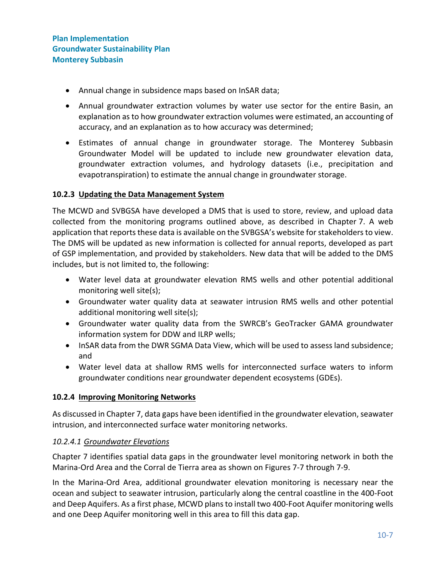- Annual change in subsidence maps based on InSAR data;
- Annual groundwater extraction volumes by water use sector for the entire Basin, an explanation as to how groundwater extraction volumes were estimated, an accounting of accuracy, and an explanation as to how accuracy was determined;
- Estimates of annual change in groundwater storage. The Monterey Subbasin Groundwater Model will be updated to include new groundwater elevation data, groundwater extraction volumes, and hydrology datasets (i.e., precipitation and evapotranspiration) to estimate the annual change in groundwater storage.

## <span id="page-6-0"></span>**10.2.3 Updating the Data Management System**

The MCWD and SVBGSA have developed a DMS that is used to store, review, and upload data collected from the monitoring programs outlined above, as described in Chapter 7. A web application that reports these data is available on the SVBGSA's website for stakeholders to view. The DMS will be updated as new information is collected for annual reports, developed as part of GSP implementation, and provided by stakeholders. New data that will be added to the DMS includes, but is not limited to, the following:

- Water level data at groundwater elevation RMS wells and other potential additional monitoring well site(s);
- Groundwater water quality data at seawater intrusion RMS wells and other potential additional monitoring well site(s);
- Groundwater water quality data from the SWRCB's GeoTracker GAMA groundwater information system for DDW and ILRP wells;
- InSAR data from the DWR SGMA Data View, which will be used to assess land subsidence; and
- Water level data at shallow RMS wells for interconnected surface waters to inform groundwater conditions near groundwater dependent ecosystems (GDEs).

#### <span id="page-6-1"></span>**10.2.4 Improving Monitoring Networks**

As discussed in Chapter 7, data gaps have been identified in the groundwater elevation, seawater intrusion, and interconnected surface water monitoring networks.

#### *10.2.4.1 Groundwater Elevations*

Chapter 7 identifies spatial data gaps in the groundwater level monitoring network in both the Marina-Ord Area and the Corral de Tierra area as shown on Figures 7-7 through 7-9.

In the Marina-Ord Area, additional groundwater elevation monitoring is necessary near the ocean and subject to seawater intrusion, particularly along the central coastline in the 400-Foot and Deep Aquifers. As a first phase, MCWD plans to install two 400-Foot Aquifer monitoring wells and one Deep Aquifer monitoring well in this area to fill this data gap.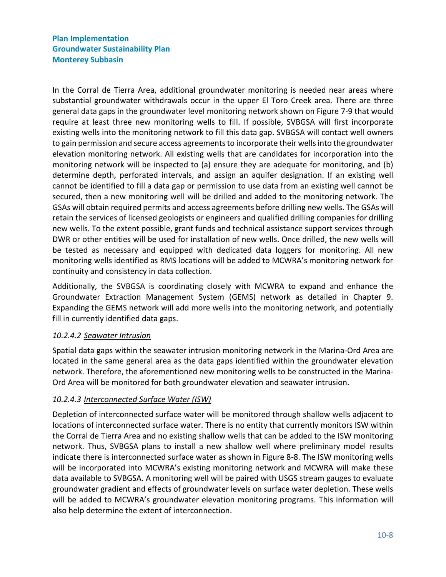In the Corral de Tierra Area, additional groundwater monitoring is needed near areas where substantial groundwater withdrawals occur in the upper El Toro Creek area. There are three general data gaps in the groundwater level monitoring network shown on Figure 7-9 that would require at least three new monitoring wells to fill. If possible, SVBGSA will first incorporate existing wells into the monitoring network to fill this data gap. SVBGSA will contact well owners to gain permission and secure access agreements to incorporate their wells into the groundwater elevation monitoring network. All existing wells that are candidates for incorporation into the monitoring network will be inspected to (a) ensure they are adequate for monitoring, and (b) determine depth, perforated intervals, and assign an aquifer designation. If an existing well cannot be identified to fill a data gap or permission to use data from an existing well cannot be secured, then a new monitoring well will be drilled and added to the monitoring network. The GSAs will obtain required permits and access agreements before drilling new wells. The GSAs will retain the services of licensed geologists or engineers and qualified drilling companies for drilling new wells. To the extent possible, grant funds and technical assistance support services through DWR or other entities will be used for installation of new wells. Once drilled, the new wells will be tested as necessary and equipped with dedicated data loggers for monitoring. All new monitoring wells identified as RMS locations will be added to MCWRA's monitoring network for continuity and consistency in data collection.

Additionally, the SVBGSA is coordinating closely with MCWRA to expand and enhance the Groundwater Extraction Management System (GEMS) network as detailed in Chapter 9. Expanding the GEMS network will add more wells into the monitoring network, and potentially fill in currently identified data gaps.

## *10.2.4.2 Seawater Intrusion*

Spatial data gaps within the seawater intrusion monitoring network in the Marina-Ord Area are located in the same general area as the data gaps identified within the groundwater elevation network. Therefore, the aforementioned new monitoring wells to be constructed in the Marina-Ord Area will be monitored for both groundwater elevation and seawater intrusion.

## *10.2.4.3 Interconnected Surface Water (ISW)*

Depletion of interconnected surface water will be monitored through shallow wells adjacent to locations of interconnected surface water. There is no entity that currently monitors ISW within the Corral de Tierra Area and no existing shallow wells that can be added to the ISW monitoring network. Thus, SVBGSA plans to install a new shallow well where preliminary model results indicate there is interconnected surface water as shown in Figure 8-8. The ISW monitoring wells will be incorporated into MCWRA's existing monitoring network and MCWRA will make these data available to SVBGSA. A monitoring well will be paired with USGS stream gauges to evaluate groundwater gradient and effects of groundwater levels on surface water depletion. These wells will be added to MCWRA's groundwater elevation monitoring programs. This information will also help determine the extent of interconnection.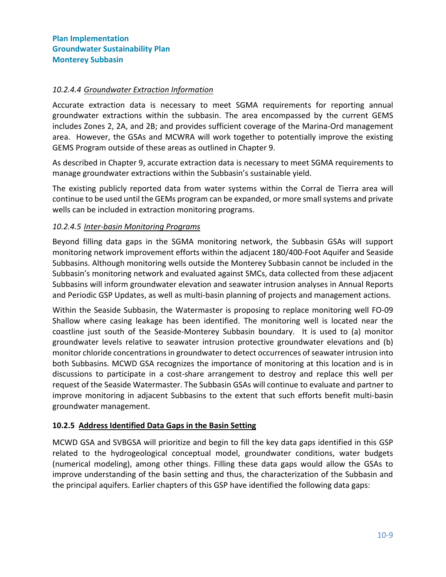#### *10.2.4.4 Groundwater Extraction Information*

Accurate extraction data is necessary to meet SGMA requirements for reporting annual groundwater extractions within the subbasin. The area encompassed by the current GEMS includes Zones 2, 2A, and 2B; and provides sufficient coverage of the Marina-Ord management area. However, the GSAs and MCWRA will work together to potentially improve the existing GEMS Program outside of these areas as outlined in Chapter 9.

As described in Chapter 9, accurate extraction data is necessary to meet SGMA requirements to manage groundwater extractions within the Subbasin's sustainable yield.

The existing publicly reported data from water systems within the Corral de Tierra area will continue to be used until the GEMs program can be expanded, or more small systems and private wells can be included in extraction monitoring programs.

## *10.2.4.5 Inter-basin Monitoring Programs*

Beyond filling data gaps in the SGMA monitoring network, the Subbasin GSAs will support monitoring network improvement efforts within the adjacent 180/400-Foot Aquifer and Seaside Subbasins. Although monitoring wells outside the Monterey Subbasin cannot be included in the Subbasin's monitoring network and evaluated against SMCs, data collected from these adjacent Subbasins will inform groundwater elevation and seawater intrusion analyses in Annual Reports and Periodic GSP Updates, as well as multi-basin planning of projects and management actions.

Within the Seaside Subbasin, the Watermaster is proposing to replace monitoring well FO-09 Shallow where casing leakage has been identified. The monitoring well is located near the coastline just south of the Seaside-Monterey Subbasin boundary. It is used to (a) monitor groundwater levels relative to seawater intrusion protective groundwater elevations and (b) monitor chloride concentrations in groundwater to detect occurrences of seawater intrusion into both Subbasins. MCWD GSA recognizes the importance of monitoring at this location and is in discussions to participate in a cost-share arrangement to destroy and replace this well per request of the Seaside Watermaster. The Subbasin GSAs will continue to evaluate and partner to improve monitoring in adjacent Subbasins to the extent that such efforts benefit multi-basin groundwater management.

#### <span id="page-8-0"></span>**10.2.5 Address Identified Data Gaps in the Basin Setting**

MCWD GSA and SVBGSA will prioritize and begin to fill the key data gaps identified in this GSP related to the hydrogeological conceptual model, groundwater conditions, water budgets (numerical modeling), among other things. Filling these data gaps would allow the GSAs to improve understanding of the basin setting and thus, the characterization of the Subbasin and the principal aquifers. Earlier chapters of this GSP have identified the following data gaps: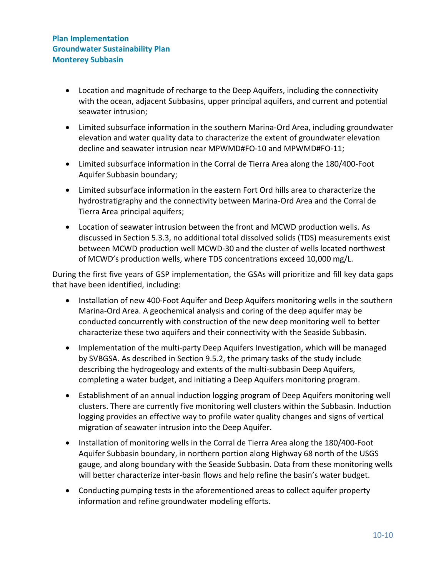- Location and magnitude of recharge to the Deep Aquifers, including the connectivity with the ocean, adjacent Subbasins, upper principal aquifers, and current and potential seawater intrusion;
- Limited subsurface information in the southern Marina-Ord Area, including groundwater elevation and water quality data to characterize the extent of groundwater elevation decline and seawater intrusion near MPWMD#FO-10 and MPWMD#FO-11;
- Limited subsurface information in the Corral de Tierra Area along the 180/400-Foot Aquifer Subbasin boundary;
- Limited subsurface information in the eastern Fort Ord hills area to characterize the hydrostratigraphy and the connectivity between Marina-Ord Area and the Corral de Tierra Area principal aquifers;
- Location of seawater intrusion between the front and MCWD production wells. As discussed in Section 5.3.3, no additional total dissolved solids (TDS) measurements exist between MCWD production well MCWD-30 and the cluster of wells located northwest of MCWD's production wells, where TDS concentrations exceed 10,000 mg/L.

During the first five years of GSP implementation, the GSAs will prioritize and fill key data gaps that have been identified, including:

- Installation of new 400-Foot Aquifer and Deep Aquifers monitoring wells in the southern Marina-Ord Area. A geochemical analysis and coring of the deep aquifer may be conducted concurrently with construction of the new deep monitoring well to better characterize these two aquifers and their connectivity with the Seaside Subbasin.
- Implementation of the multi-party Deep Aquifers Investigation, which will be managed by SVBGSA. As described in Section 9.5.2, the primary tasks of the study include describing the hydrogeology and extents of the multi-subbasin Deep Aquifers, completing a water budget, and initiating a Deep Aquifers monitoring program.
- Establishment of an annual induction logging program of Deep Aquifers monitoring well clusters. There are currently five monitoring well clusters within the Subbasin. Induction logging provides an effective way to profile water quality changes and signs of vertical migration of seawater intrusion into the Deep Aquifer.
- Installation of monitoring wells in the Corral de Tierra Area along the 180/400-Foot Aquifer Subbasin boundary, in northern portion along Highway 68 north of the USGS gauge, and along boundary with the Seaside Subbasin. Data from these monitoring wells will better characterize inter-basin flows and help refine the basin's water budget.
- Conducting pumping tests in the aforementioned areas to collect aquifer property information and refine groundwater modeling efforts.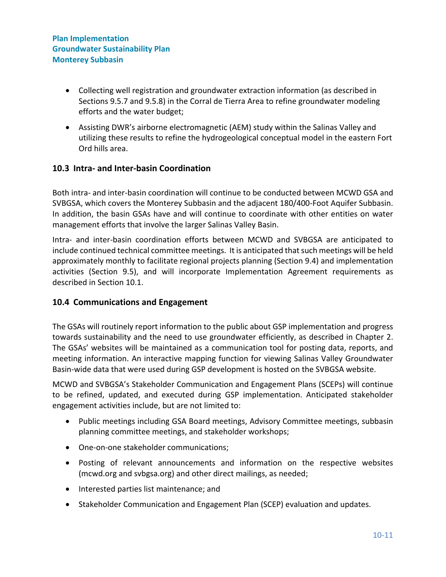- Collecting well registration and groundwater extraction information (as described in Sections 9.5.7 and 9.5.8) in the Corral de Tierra Area to refine groundwater modeling efforts and the water budget;
- Assisting DWR's airborne electromagnetic (AEM) study within the Salinas Valley and utilizing these results to refine the hydrogeological conceptual model in the eastern Fort Ord hills area.

## <span id="page-10-0"></span>**10.3 Intra- and Inter-basin Coordination**

Both intra- and inter-basin coordination will continue to be conducted between MCWD GSA and SVBGSA, which covers the Monterey Subbasin and the adjacent 180/400-Foot Aquifer Subbasin. In addition, the basin GSAs have and will continue to coordinate with other entities on water management efforts that involve the larger Salinas Valley Basin.

Intra- and inter-basin coordination efforts between MCWD and SVBGSA are anticipated to include continued technical committee meetings. It is anticipated that such meetings will be held approximately monthly to facilitate regional projects planning (Section 9.4) and implementation activities (Section 9.5), and will incorporate Implementation Agreement requirements as described in Section 10.1.

## <span id="page-10-1"></span>**10.4 Communications and Engagement**

The GSAs will routinely report information to the public about GSP implementation and progress towards sustainability and the need to use groundwater efficiently, as described in Chapter 2. The GSAs' websites will be maintained as a communication tool for posting data, reports, and meeting information. An interactive mapping function for viewing Salinas Valley Groundwater Basin-wide data that were used during GSP development is hosted on the SVBGSA website.

MCWD and SVBGSA's Stakeholder Communication and Engagement Plans (SCEPs) will continue to be refined, updated, and executed during GSP implementation. Anticipated stakeholder engagement activities include, but are not limited to:

- Public meetings including GSA Board meetings, Advisory Committee meetings, subbasin planning committee meetings, and stakeholder workshops;
- One-on-one stakeholder communications;
- Posting of relevant announcements and information on the respective websites (mcwd.org and svbgsa.org) and other direct mailings, as needed;
- Interested parties list maintenance; and
- Stakeholder Communication and Engagement Plan (SCEP) evaluation and updates.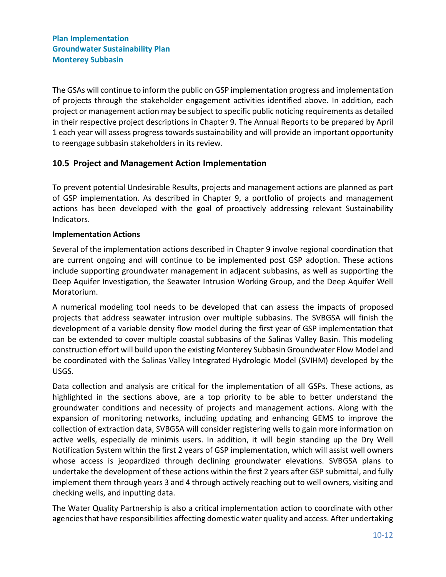The GSAs will continue to inform the public on GSP implementation progress and implementation of projects through the stakeholder engagement activities identified above. In addition, each project or management action may be subject to specific public noticing requirements as detailed in their respective project descriptions in Chapter 9. The Annual Reports to be prepared by April 1 each year will assess progress towards sustainability and will provide an important opportunity to reengage subbasin stakeholders in its review.

## <span id="page-11-0"></span>**10.5 Project and Management Action Implementation**

To prevent potential Undesirable Results, projects and management actions are planned as part of GSP implementation. As described in Chapter 9, a portfolio of projects and management actions has been developed with the goal of proactively addressing relevant Sustainability Indicators.

#### **Implementation Actions**

Several of the implementation actions described in Chapter 9 involve regional coordination that are current ongoing and will continue to be implemented post GSP adoption. These actions include supporting groundwater management in adjacent subbasins, as well as supporting the Deep Aquifer Investigation, the Seawater Intrusion Working Group, and the Deep Aquifer Well Moratorium.

A numerical modeling tool needs to be developed that can assess the impacts of proposed projects that address seawater intrusion over multiple subbasins. The SVBGSA will finish the development of a variable density flow model during the first year of GSP implementation that can be extended to cover multiple coastal subbasins of the Salinas Valley Basin. This modeling construction effort will build upon the existing Monterey Subbasin Groundwater Flow Model and be coordinated with the Salinas Valley Integrated Hydrologic Model (SVIHM) developed by the USGS.

Data collection and analysis are critical for the implementation of all GSPs. These actions, as highlighted in the sections above, are a top priority to be able to better understand the groundwater conditions and necessity of projects and management actions. Along with the expansion of monitoring networks, including updating and enhancing GEMS to improve the collection of extraction data, SVBGSA will consider registering wells to gain more information on active wells, especially de minimis users. In addition, it will begin standing up the Dry Well Notification System within the first 2 years of GSP implementation, which will assist well owners whose access is jeopardized through declining groundwater elevations. SVBGSA plans to undertake the development of these actions within the first 2 years after GSP submittal, and fully implement them through years 3 and 4 through actively reaching out to well owners, visiting and checking wells, and inputting data.

The Water Quality Partnership is also a critical implementation action to coordinate with other agencies that have responsibilities affecting domestic water quality and access. After undertaking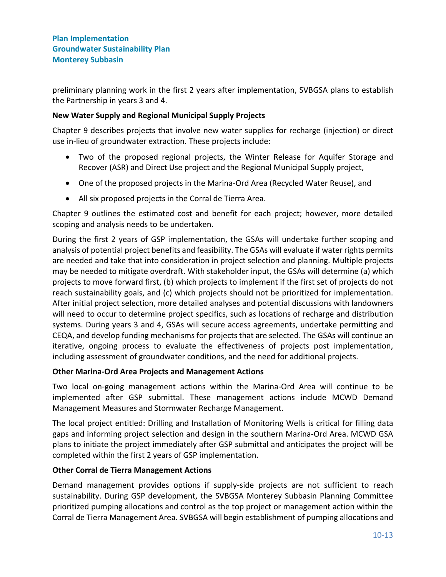preliminary planning work in the first 2 years after implementation, SVBGSA plans to establish the Partnership in years 3 and 4.

## **New Water Supply and Regional Municipal Supply Projects**

Chapter 9 describes projects that involve new water supplies for recharge (injection) or direct use in-lieu of groundwater extraction. These projects include:

- Two of the proposed regional projects, the Winter Release for Aquifer Storage and Recover (ASR) and Direct Use project and the Regional Municipal Supply project,
- One of the proposed projects in the Marina-Ord Area (Recycled Water Reuse), and
- All six proposed projects in the Corral de Tierra Area.

Chapter 9 outlines the estimated cost and benefit for each project; however, more detailed scoping and analysis needs to be undertaken.

During the first 2 years of GSP implementation, the GSAs will undertake further scoping and analysis of potential project benefits and feasibility. The GSAs will evaluate if water rights permits are needed and take that into consideration in project selection and planning. Multiple projects may be needed to mitigate overdraft. With stakeholder input, the GSAs will determine (a) which projects to move forward first, (b) which projects to implement if the first set of projects do not reach sustainability goals, and (c) which projects should not be prioritized for implementation. After initial project selection, more detailed analyses and potential discussions with landowners will need to occur to determine project specifics, such as locations of recharge and distribution systems. During years 3 and 4, GSAs will secure access agreements, undertake permitting and CEQA, and develop funding mechanisms for projects that are selected. The GSAs will continue an iterative, ongoing process to evaluate the effectiveness of projects post implementation, including assessment of groundwater conditions, and the need for additional projects.

#### **Other Marina-Ord Area Projects and Management Actions**

Two local on-going management actions within the Marina-Ord Area will continue to be implemented after GSP submittal. These management actions include MCWD Demand Management Measures and Stormwater Recharge Management.

The local project entitled: Drilling and Installation of Monitoring Wells is critical for filling data gaps and informing project selection and design in the southern Marina-Ord Area. MCWD GSA plans to initiate the project immediately after GSP submittal and anticipates the project will be completed within the first 2 years of GSP implementation.

## **Other Corral de Tierra Management Actions**

Demand management provides options if supply-side projects are not sufficient to reach sustainability. During GSP development, the SVBGSA Monterey Subbasin Planning Committee prioritized pumping allocations and control as the top project or management action within the Corral de Tierra Management Area. SVBGSA will begin establishment of pumping allocations and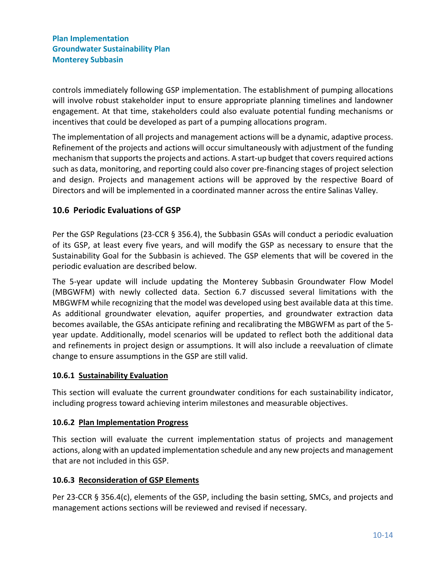controls immediately following GSP implementation. The establishment of pumping allocations will involve robust stakeholder input to ensure appropriate planning timelines and landowner engagement. At that time, stakeholders could also evaluate potential funding mechanisms or incentives that could be developed as part of a pumping allocations program.

The implementation of all projects and management actions will be a dynamic, adaptive process. Refinement of the projects and actions will occur simultaneously with adjustment of the funding mechanism that supports the projects and actions. A start-up budget that covers required actions such as data, monitoring, and reporting could also cover pre-financing stages of project selection and design. Projects and management actions will be approved by the respective Board of Directors and will be implemented in a coordinated manner across the entire Salinas Valley.

# <span id="page-13-0"></span>**10.6 Periodic Evaluations of GSP**

Per the GSP Regulations (23-CCR § 356.4), the Subbasin GSAs will conduct a periodic evaluation of its GSP, at least every five years, and will modify the GSP as necessary to ensure that the Sustainability Goal for the Subbasin is achieved. The GSP elements that will be covered in the periodic evaluation are described below.

The 5-year update will include updating the Monterey Subbasin Groundwater Flow Model (MBGWFM) with newly collected data. Section 6.7 discussed several limitations with the MBGWFM while recognizing that the model was developed using best available data at this time. As additional groundwater elevation, aquifer properties, and groundwater extraction data becomes available, the GSAs anticipate refining and recalibrating the MBGWFM as part of the 5 year update. Additionally, model scenarios will be updated to reflect both the additional data and refinements in project design or assumptions. It will also include a reevaluation of climate change to ensure assumptions in the GSP are still valid.

#### <span id="page-13-1"></span>**10.6.1 Sustainability Evaluation**

This section will evaluate the current groundwater conditions for each sustainability indicator, including progress toward achieving interim milestones and measurable objectives.

## <span id="page-13-2"></span>**10.6.2 Plan Implementation Progress**

This section will evaluate the current implementation status of projects and management actions, along with an updated implementation schedule and any new projects and management that are not included in this GSP.

## <span id="page-13-3"></span>**10.6.3 Reconsideration of GSP Elements**

Per 23-CCR § 356.4(c), elements of the GSP, including the basin setting, SMCs, and projects and management actions sections will be reviewed and revised if necessary.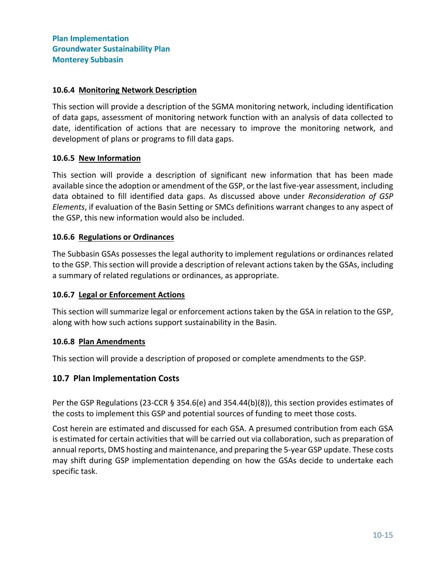#### <span id="page-14-0"></span>**10.6.4 Monitoring Network Description**

This section will provide a description of the SGMA monitoring network, including identification of data gaps, assessment of monitoring network function with an analysis of data collected to date, identification of actions that are necessary to improve the monitoring network, and development of plans or programs to fill data gaps.

#### <span id="page-14-1"></span>**10.6.5 New Information**

This section will provide a description of significant new information that has been made available since the adoption or amendment of the GSP, or the last five-year assessment, including data obtained to fill identified data gaps. As discussed above under *[Reconsideration of GSP](#page-13-3)  [Elements](#page-13-3)*, if evaluation of the Basin Setting or SMCs definitions warrant changes to any aspect of the GSP, this new information would also be included.

#### <span id="page-14-2"></span>**10.6.6 Regulations or Ordinances**

The Subbasin GSAs possesses the legal authority to implement regulations or ordinances related to the GSP. This section will provide a description of relevant actions taken by the GSAs, including a summary of related regulations or ordinances, as appropriate.

#### <span id="page-14-3"></span>**10.6.7 Legal or Enforcement Actions**

This section will summarize legal or enforcement actions taken by the GSA in relation to the GSP, along with how such actions support sustainability in the Basin.

#### <span id="page-14-4"></span>**10.6.8 Plan Amendments**

This section will provide a description of proposed or complete amendments to the GSP.

#### <span id="page-14-5"></span>**10.7 Plan Implementation Costs**

Per the GSP Regulations (23-CCR § 354.6(e) and 354.44(b)(8)), this section provides estimates of the costs to implement this GSP and potential sources of funding to meet those costs.

Cost herein are estimated and discussed for each GSA. A presumed contribution from each GSA is estimated for certain activities that will be carried out via collaboration, such as preparation of annual reports, DMS hosting and maintenance, and preparing the 5-year GSP update. These costs may shift during GSP implementation depending on how the GSAs decide to undertake each specific task.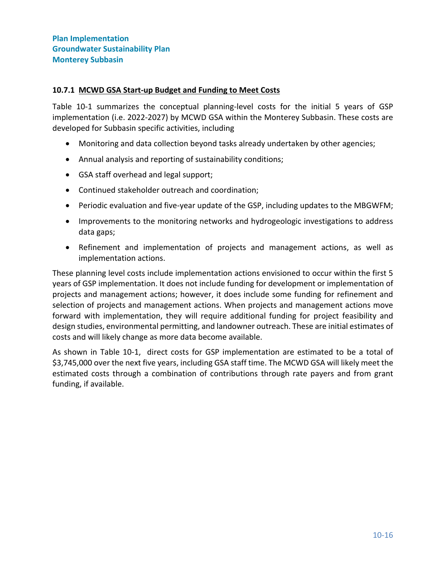#### <span id="page-15-0"></span>**10.7.1 MCWD GSA Start-up Budget and Funding to Meet Costs**

[Table 10-1](#page-16-0) summarizes the conceptual planning-level costs for the initial 5 years of GSP implementation (i.e. 2022-2027) by MCWD GSA within the Monterey Subbasin. These costs are developed for Subbasin specific activities, including

- Monitoring and data collection beyond tasks already undertaken by other agencies;
- Annual analysis and reporting of sustainability conditions;
- GSA staff overhead and legal support;
- Continued stakeholder outreach and coordination;
- Periodic evaluation and five-year update of the GSP, including updates to the MBGWFM;
- Improvements to the monitoring networks and hydrogeologic investigations to address data gaps;
- Refinement and implementation of projects and management actions, as well as implementation actions.

These planning level costs include implementation actions envisioned to occur within the first 5 years of GSP implementation. It does not include funding for development or implementation of projects and management actions; however, it does include some funding for refinement and selection of projects and management actions. When projects and management actions move forward with implementation, they will require additional funding for project feasibility and design studies, environmental permitting, and landowner outreach. These are initial estimates of costs and will likely change as more data become available.

As shown in [Table 10-1,](#page-16-0) direct costs for GSP implementation are estimated to be a total of \$3,745,000 over the next five years, including GSA staff time. The MCWD GSA will likely meet the estimated costs through a combination of contributions through rate payers and from grant funding, if available.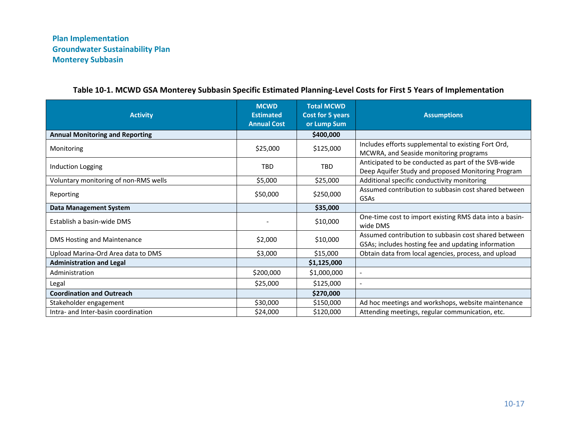<span id="page-16-0"></span>

| <b>Activity</b>                        | <b>MCWD</b><br><b>Estimated</b><br><b>Annual Cost</b> | <b>Total MCWD</b><br>Cost for 5 years<br>or Lump Sum | <b>Assumptions</b>                                                                                          |
|----------------------------------------|-------------------------------------------------------|------------------------------------------------------|-------------------------------------------------------------------------------------------------------------|
| <b>Annual Monitoring and Reporting</b> |                                                       | \$400,000                                            |                                                                                                             |
| Monitoring                             | \$25,000                                              | \$125,000                                            | Includes efforts supplemental to existing Fort Ord,<br>MCWRA, and Seaside monitoring programs               |
| Induction Logging                      | <b>TBD</b>                                            | <b>TBD</b>                                           | Anticipated to be conducted as part of the SVB-wide<br>Deep Aquifer Study and proposed Monitoring Program   |
| Voluntary monitoring of non-RMS wells  | \$5,000                                               | \$25,000                                             | Additional specific conductivity monitoring                                                                 |
| Reporting                              | \$50,000                                              | \$250,000                                            | Assumed contribution to subbasin cost shared between<br>GSAs                                                |
| <b>Data Management System</b>          |                                                       | \$35,000                                             |                                                                                                             |
| Establish a basin-wide DMS             |                                                       | \$10,000                                             | One-time cost to import existing RMS data into a basin-<br>wide DMS                                         |
| <b>DMS Hosting and Maintenance</b>     | \$2,000                                               | \$10,000                                             | Assumed contribution to subbasin cost shared between<br>GSAs; includes hosting fee and updating information |
| Upload Marina-Ord Area data to DMS     | \$3,000                                               | \$15,000                                             | Obtain data from local agencies, process, and upload                                                        |
| <b>Administration and Legal</b>        |                                                       | \$1,125,000                                          |                                                                                                             |
| Administration                         | \$200,000                                             | \$1,000,000                                          | $\overline{\phantom{a}}$                                                                                    |
| Legal                                  | \$25,000                                              | \$125,000                                            | $\overline{\phantom{a}}$                                                                                    |
| <b>Coordination and Outreach</b>       |                                                       | \$270,000                                            |                                                                                                             |
| Stakeholder engagement                 | \$30,000                                              | \$150,000                                            | Ad hoc meetings and workshops, website maintenance                                                          |
| Intra- and Inter-basin coordination    | \$24,000                                              | \$120,000                                            | Attending meetings, regular communication, etc.                                                             |

# **Table 10-1. MCWD GSA Monterey Subbasin Specific Estimated Planning-Level Costs for First 5 Years of Implementation**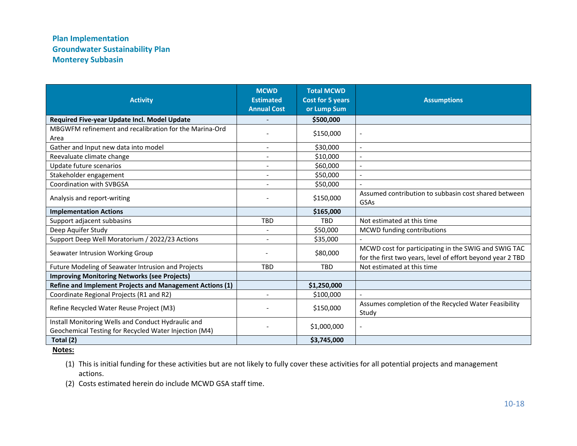| <b>Activity</b>                                                                                             | <b>MCWD</b><br><b>Estimated</b><br><b>Annual Cost</b> | <b>Total MCWD</b><br><b>Cost for 5 years</b><br>or Lump Sum | <b>Assumptions</b>                                                                                                 |
|-------------------------------------------------------------------------------------------------------------|-------------------------------------------------------|-------------------------------------------------------------|--------------------------------------------------------------------------------------------------------------------|
| Required Five-year Update Incl. Model Update                                                                |                                                       | \$500,000                                                   |                                                                                                                    |
| MBGWFM refinement and recalibration for the Marina-Ord<br>Area                                              |                                                       | \$150,000                                                   |                                                                                                                    |
| Gather and Input new data into model                                                                        |                                                       | \$30,000                                                    | $\overline{\phantom{a}}$                                                                                           |
| Reevaluate climate change                                                                                   |                                                       | \$10,000                                                    | $\overline{\phantom{a}}$                                                                                           |
| Update future scenarios                                                                                     |                                                       | \$60,000                                                    | $\overline{\phantom{a}}$                                                                                           |
| Stakeholder engagement                                                                                      | $\blacksquare$                                        | \$50,000                                                    | $\blacksquare$                                                                                                     |
| Coordination with SVBGSA                                                                                    |                                                       | \$50,000                                                    |                                                                                                                    |
| Analysis and report-writing                                                                                 |                                                       | \$150,000                                                   | Assumed contribution to subbasin cost shared between<br>GSAs                                                       |
| <b>Implementation Actions</b>                                                                               |                                                       | \$165,000                                                   |                                                                                                                    |
| Support adjacent subbasins                                                                                  | <b>TBD</b>                                            | <b>TBD</b>                                                  | Not estimated at this time                                                                                         |
| Deep Aquifer Study                                                                                          |                                                       | \$50,000                                                    | MCWD funding contributions                                                                                         |
| Support Deep Well Moratorium / 2022/23 Actions                                                              |                                                       | \$35,000                                                    |                                                                                                                    |
| Seawater Intrusion Working Group                                                                            |                                                       | \$80,000                                                    | MCWD cost for participating in the SWIG and SWIG TAC<br>for the first two years, level of effort beyond year 2 TBD |
| Future Modeling of Seawater Intrusion and Projects                                                          | <b>TRD</b>                                            | TBD                                                         | Not estimated at this time                                                                                         |
| <b>Improving Monitoring Networks (see Projects)</b>                                                         |                                                       |                                                             |                                                                                                                    |
| Refine and Implement Projects and Management Actions (1)                                                    |                                                       | \$1,250,000                                                 |                                                                                                                    |
| Coordinate Regional Projects (R1 and R2)                                                                    | $\overline{a}$                                        | \$100,000                                                   | $\overline{a}$                                                                                                     |
| Refine Recycled Water Reuse Project (M3)                                                                    |                                                       | \$150,000                                                   | Assumes completion of the Recycled Water Feasibility<br>Study                                                      |
| Install Monitoring Wells and Conduct Hydraulic and<br>Geochemical Testing for Recycled Water Injection (M4) |                                                       | \$1,000,000                                                 | $\overline{\phantom{a}}$                                                                                           |
| Total (2)                                                                                                   |                                                       | \$3,745,000                                                 |                                                                                                                    |
| <b>Notes:</b>                                                                                               |                                                       |                                                             |                                                                                                                    |

(1) This is initial funding for these activities but are not likely to fully cover these activities for all potential projects and management actions.

(2) Costs estimated herein do include MCWD GSA staff time.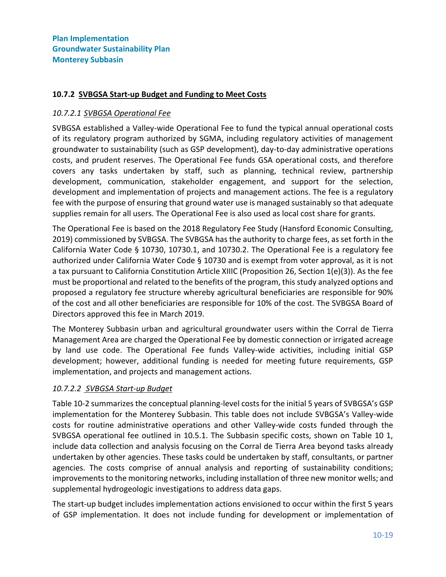## <span id="page-18-0"></span>**10.7.2 SVBGSA Start-up Budget and Funding to Meet Costs**

#### *10.7.2.1 SVBGSA Operational Fee*

SVBGSA established a Valley-wide Operational Fee to fund the typical annual operational costs of its regulatory program authorized by SGMA, including regulatory activities of management groundwater to sustainability (such as GSP development), day-to-day administrative operations costs, and prudent reserves. The Operational Fee funds GSA operational costs, and therefore covers any tasks undertaken by staff, such as planning, technical review, partnership development, communication, stakeholder engagement, and support for the selection, development and implementation of projects and management actions. The fee is a regulatory fee with the purpose of ensuring that ground water use is managed sustainably so that adequate supplies remain for all users. The Operational Fee is also used as local cost share for grants.

The Operational Fee is based on the 2018 Regulatory Fee Study (Hansford Economic Consulting, 2019) commissioned by SVBGSA. The SVBGSA has the authority to charge fees, as set forth in the California Water Code § 10730, 10730.1, and 10730.2. The Operational Fee is a regulatory fee authorized under California Water Code § 10730 and is exempt from voter approval, as it is not a tax pursuant to California Constitution Article XIIIC (Proposition 26, Section 1(e)(3)). As the fee must be proportional and related to the benefits of the program, this study analyzed options and proposed a regulatory fee structure whereby agricultural beneficiaries are responsible for 90% of the cost and all other beneficiaries are responsible for 10% of the cost. The SVBGSA Board of Directors approved this fee in March 2019.

The Monterey Subbasin urban and agricultural groundwater users within the Corral de Tierra Management Area are charged the Operational Fee by domestic connection or irrigated acreage by land use code. The Operational Fee funds Valley-wide activities, including initial GSP development; however, additional funding is needed for meeting future requirements, GSP implementation, and projects and management actions.

## *10.7.2.2 SVBGSA Start-up Budget*

[Table 10-2](#page-20-0) summarizes the conceptual planning-level costs for the initial 5 years of SVBGSA's GSP implementation for the Monterey Subbasin. This table does not include SVBGSA's Valley-wide costs for routine administrative operations and other Valley-wide costs funded through the SVBGSA operational fee outlined in 10.5.1. The Subbasin specific costs, shown on Table 10 1, include data collection and analysis focusing on the Corral de Tierra Area beyond tasks already undertaken by other agencies. These tasks could be undertaken by staff, consultants, or partner agencies. The costs comprise of annual analysis and reporting of sustainability conditions; improvements to the monitoring networks, including installation of three new monitor wells; and supplemental hydrogeologic investigations to address data gaps.

The start-up budget includes implementation actions envisioned to occur within the first 5 years of GSP implementation. It does not include funding for development or implementation of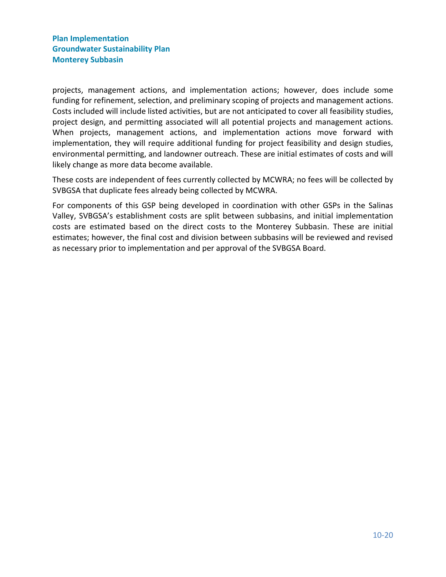projects, management actions, and implementation actions; however, does include some funding for refinement, selection, and preliminary scoping of projects and management actions. Costs included will include listed activities, but are not anticipated to cover all feasibility studies, project design, and permitting associated will all potential projects and management actions. When projects, management actions, and implementation actions move forward with implementation, they will require additional funding for project feasibility and design studies, environmental permitting, and landowner outreach. These are initial estimates of costs and will likely change as more data become available.

These costs are independent of fees currently collected by MCWRA; no fees will be collected by SVBGSA that duplicate fees already being collected by MCWRA.

For components of this GSP being developed in coordination with other GSPs in the Salinas Valley, SVBGSA's establishment costs are split between subbasins, and initial implementation costs are estimated based on the direct costs to the Monterey Subbasin. These are initial estimates; however, the final cost and division between subbasins will be reviewed and revised as necessary prior to implementation and per approval of the SVBGSA Board.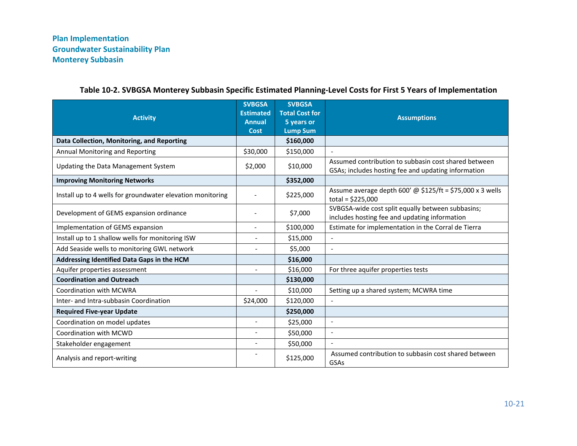<span id="page-20-0"></span>

| <b>Activity</b>                                            | <b>SVBGSA</b><br><b>Estimated</b><br><b>Annual</b><br>Cost | <b>SVBGSA</b><br><b>Total Cost for</b><br>5 years or<br><b>Lump Sum</b> | <b>Assumptions</b>                                                                                          |
|------------------------------------------------------------|------------------------------------------------------------|-------------------------------------------------------------------------|-------------------------------------------------------------------------------------------------------------|
| Data Collection, Monitoring, and Reporting                 |                                                            | \$160,000                                                               |                                                                                                             |
| Annual Monitoring and Reporting                            | \$30,000                                                   | \$150,000                                                               | $\overline{\phantom{a}}$                                                                                    |
| Updating the Data Management System                        | \$2,000                                                    | \$10,000                                                                | Assumed contribution to subbasin cost shared between<br>GSAs; includes hosting fee and updating information |
| <b>Improving Monitoring Networks</b>                       |                                                            | \$352,000                                                               |                                                                                                             |
| Install up to 4 wells for groundwater elevation monitoring |                                                            | \$225,000                                                               | Assume average depth 600' @ $$125/ft = $75,000 \times 3$ wells<br>total = $$225,000$                        |
| Development of GEMS expansion ordinance                    |                                                            | \$7,000                                                                 | SVBGSA-wide cost split equally between subbasins;<br>includes hosting fee and updating information          |
| Implementation of GEMS expansion                           |                                                            | \$100,000                                                               | Estimate for implementation in the Corral de Tierra                                                         |
| Install up to 1 shallow wells for monitoring ISW           |                                                            | \$15,000                                                                | $\blacksquare$                                                                                              |
| Add Seaside wells to monitoring GWL network                | $\blacksquare$                                             | \$5,000                                                                 | $\mathbf{r}$                                                                                                |
| Addressing Identified Data Gaps in the HCM                 |                                                            | \$16,000                                                                |                                                                                                             |
| Aquifer properties assessment                              | $\overline{a}$                                             | \$16,000                                                                | For three aquifer properties tests                                                                          |
| <b>Coordination and Outreach</b>                           |                                                            | \$130,000                                                               |                                                                                                             |
| <b>Coordination with MCWRA</b>                             |                                                            | \$10,000                                                                | Setting up a shared system; MCWRA time                                                                      |
| Inter- and Intra-subbasin Coordination                     | \$24,000                                                   | \$120,000                                                               | $\sim$                                                                                                      |
| <b>Required Five-year Update</b>                           |                                                            | \$250,000                                                               |                                                                                                             |
| Coordination on model updates                              | $\overline{a}$                                             | \$25,000                                                                | $\overline{\phantom{a}}$                                                                                    |
| Coordination with MCWD                                     |                                                            | \$50,000                                                                |                                                                                                             |
| Stakeholder engagement                                     |                                                            | \$50,000                                                                |                                                                                                             |
| Analysis and report-writing                                |                                                            | \$125,000                                                               | Assumed contribution to subbasin cost shared between<br>GSAs                                                |

## **Table 10-2. SVBGSA Monterey Subbasin Specific Estimated Planning-Level Costs for First 5 Years of Implementation**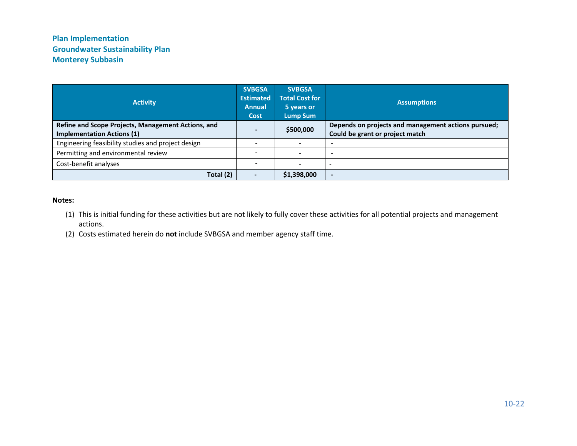| <b>Activity</b>                                                                         | <b>SVBGSA</b><br><b>Estimated</b><br><b>Annual</b><br><b>Cost</b> | <b>SVBGSA</b><br><b>Total Cost for</b><br>5 years or<br><b>Lump Sum</b> | <b>Assumptions</b>                                                                     |
|-----------------------------------------------------------------------------------------|-------------------------------------------------------------------|-------------------------------------------------------------------------|----------------------------------------------------------------------------------------|
| Refine and Scope Projects, Management Actions, and<br><b>Implementation Actions (1)</b> |                                                                   | \$500,000                                                               | Depends on projects and management actions pursued;<br>Could be grant or project match |
| Engineering feasibility studies and project design                                      |                                                                   | $\overline{\phantom{0}}$                                                |                                                                                        |
| Permitting and environmental review                                                     |                                                                   | $\overline{\phantom{a}}$                                                |                                                                                        |
| Cost-benefit analyses                                                                   |                                                                   | $\overline{\phantom{0}}$                                                |                                                                                        |
| Total (2)                                                                               |                                                                   | \$1,398,000                                                             |                                                                                        |

#### **Notes:**

- (1) This is initial funding for these activities but are not likely to fully cover these activities for all potential projects and management actions.
- (2) Costs estimated herein do **not** include SVBGSA and member agency staff time.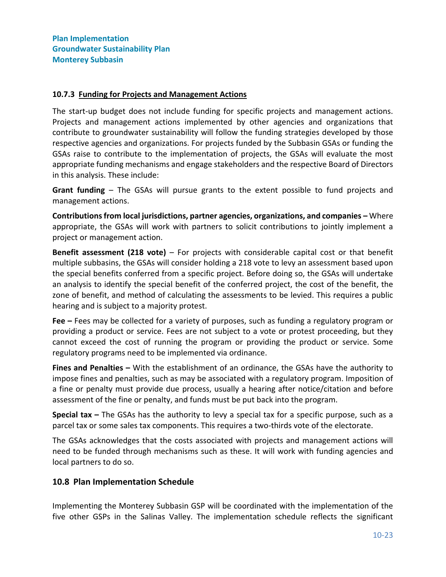#### <span id="page-22-0"></span>**10.7.3 Funding for Projects and Management Actions**

The start-up budget does not include funding for specific projects and management actions. Projects and management actions implemented by other agencies and organizations that contribute to groundwater sustainability will follow the funding strategies developed by those respective agencies and organizations. For projects funded by the Subbasin GSAs or funding the GSAs raise to contribute to the implementation of projects, the GSAs will evaluate the most appropriate funding mechanisms and engage stakeholders and the respective Board of Directors in this analysis. These include:

**Grant funding** – The GSAs will pursue grants to the extent possible to fund projects and management actions.

**Contributions from local jurisdictions, partner agencies, organizations, and companies –** Where appropriate, the GSAs will work with partners to solicit contributions to jointly implement a project or management action.

**Benefit assessment (218 vote)** – For projects with considerable capital cost or that benefit multiple subbasins, the GSAs will consider holding a 218 vote to levy an assessment based upon the special benefits conferred from a specific project. Before doing so, the GSAs will undertake an analysis to identify the special benefit of the conferred project, the cost of the benefit, the zone of benefit, and method of calculating the assessments to be levied. This requires a public hearing and is subject to a majority protest.

**Fee –** Fees may be collected for a variety of purposes, such as funding a regulatory program or providing a product or service. Fees are not subject to a vote or protest proceeding, but they cannot exceed the cost of running the program or providing the product or service. Some regulatory programs need to be implemented via ordinance.

**Fines and Penalties –** With the establishment of an ordinance, the GSAs have the authority to impose fines and penalties, such as may be associated with a regulatory program. Imposition of a fine or penalty must provide due process, usually a hearing after notice/citation and before assessment of the fine or penalty, and funds must be put back into the program.

**Special tax –** The GSAs has the authority to levy a special tax for a specific purpose, such as a parcel tax or some sales tax components. This requires a two-thirds vote of the electorate.

The GSAs acknowledges that the costs associated with projects and management actions will need to be funded through mechanisms such as these. It will work with funding agencies and local partners to do so.

## <span id="page-22-1"></span>**10.8 Plan Implementation Schedule**

Implementing the Monterey Subbasin GSP will be coordinated with the implementation of the five other GSPs in the Salinas Valley. The implementation schedule reflects the significant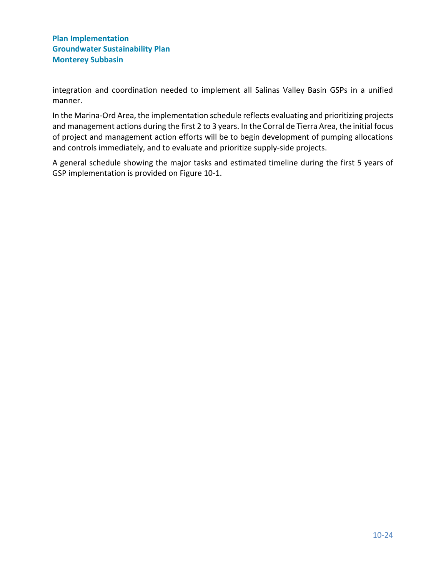integration and coordination needed to implement all Salinas Valley Basin GSPs in a unified manner.

In the Marina-Ord Area, the implementation schedule reflects evaluating and prioritizing projects and management actions during the first 2 to 3 years. In the Corral de Tierra Area, the initial focus of project and management action efforts will be to begin development of pumping allocations and controls immediately, and to evaluate and prioritize supply-side projects.

A general schedule showing the major tasks and estimated timeline during the first 5 years of GSP implementation is provided on [Figure 10-1.](#page-24-0)